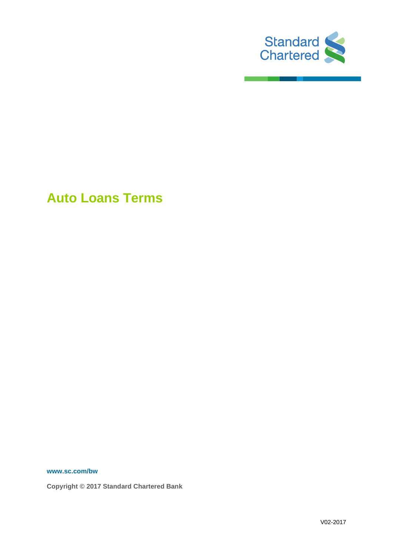

**Auto Loans Terms**

**www.sc.com/bw**

**Copyright © 2017 Standard Chartered Bank**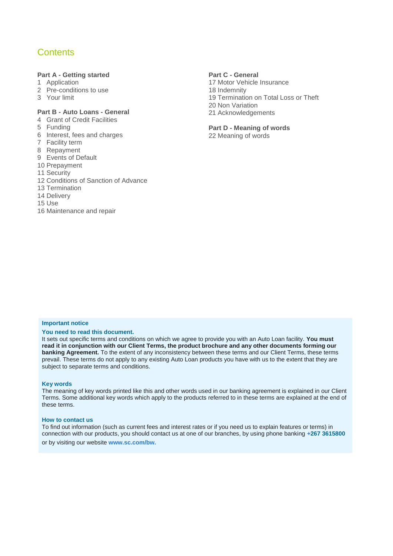## **Contents**

#### **Part A - Getting started**

- 1 Application
- 2 Pre-conditions to use
- 3 Your limit

## **Part B - Auto Loans - General**

- 4 Grant of Credit Facilities
- 5 Funding
- 6 Interest, fees and charges
- 7 Facility term
- 8 Repayment
- 9 Events of Default
- 10 Prepayment
- 11 Security
- 12 Conditions of Sanction of Advance
- 13 Termination
- 14 Delivery
- 15 Use
- 16 Maintenance and repair

#### **Part C - General**

17 Motor Vehicle Insurance 18 Indemnity 19 Termination on Total Loss or Theft 20 Non Variation 21 Acknowledgements

## **Part D - Meaning of words**

22 Meaning of words

#### **Important notice**

#### **You need to read this document.**

It sets out specific terms and conditions on which we agree to provide you with an Auto Loan facility. **You must read it in conjunction with our Client Terms, the product brochure and any other documents forming our banking Agreement.** To the extent of any inconsistency between these terms and our Client Terms, these terms prevail. These terms do not apply to any existing Auto Loan products you have with us to the extent that they are subject to separate terms and conditions.

#### **Key words**

The meaning of key words printed like this and other words used in our banking agreement is explained in our Client Terms. Some additional key words which apply to the products referred to in these terms are explained at the end of these terms.

#### **How to contact us**

To find out information (such as current fees and interest rates or if you need us to explain features or terms) in connection with our products, you should contact us at one of our branches, by using phone banking **+267 3615800** or by visiting our website **www.sc.com/bw.**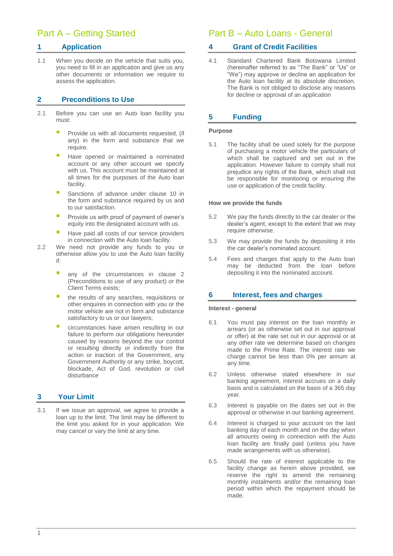# Part A – Getting Started

## **1 Application**

1.1 When you decide on the vehicle that suits you, you need to fill in an application and give us any other documents or information we require to assess the application.

## **2 Preconditions to Use**

- 2.1 Before you can use an Auto loan facility you must:
	- Provide us with all documents requested, (if any) in the form and substance that we require.
	- Have opened or maintained a nominated account or any other account we specify with us. This account must be maintained at all times for the purposes of the Auto loan facility.
	- Sanctions of advance under clause 10 in the form and substance required by us and to our satisfaction.
	- Provide us with proof of payment of owner's equity into the designated account with us.
	- Have paid all costs of our service providers in connection with the Auto loan facility.
- 2.2 We need not provide any funds to you or otherwise allow you to use the Auto loan facility if:
	- any of the circumstances in clause 2 (Preconditions to use of any product) or the Client Terms exists;
	- **the results of any searches, requisitions or** other enquires in connection with you or the motor vehicle are not in form and substance satisfactory to us or our lawyers;
	- circumstances have arisen resulting in our failure to perform our obligations hereunder caused by reasons beyond the our control or resulting directly or indirectly from the action or inaction of the Government, any Government Authority or any strike, boycott, blockade, Act of God, revolution or civil disturbance

## **3 Your Limit**

3.1 If we issue an approval, we agree to provide a loan up to the limit. The limit may be different to the limit you asked for in your application. We may cancel or vary the limit at any time.

# Part B – Auto Loans - General

## **4 Grant of Credit Facilities**

4.1 Standard Chartered Bank Botswana Limited (hereinafter referred to as "The Bank" or "Us" or "We") may approve or decline an application for the Auto loan facility at its absolute discretion. The Bank is not obliged to disclose any reasons for decline or approval of an application

## **5 Funding**

#### **Purpose**

5.1 The facility shall be used solely for the purpose of purchasing a motor vehicle the particulars of which shall be captured and set out in the application. However failure to comply shall not prejudice any rights of the Bank, which shall not be responsible for monitoring or ensuring the use or application of the credit facility.

#### **How we provide the funds**

- 5.2 We pay the funds directly to the car dealer or the dealer's agent, except to the extent that we may require otherwise.
- 5.3 We may provide the funds by depositing it into the car dealer's nominated account.
- 5.4 Fees and charges that apply to the Auto loan may be deducted from the loan before depositing it into the nominated account.

## **6 Interest, fees and charges**

#### **Interest - general**

- 6.1 You must pay interest on the loan monthly in arrears (or as otherwise set out in our approval or offer) at the rate set out in our approval or at any other rate we determine based on changes made to the Prime Rate. The interest rate we charge cannot be less than 0% per annum at any time.
- 6.2 Unless otherwise stated elsewhere in our banking agreement, interest accrues on a daily basis and is calculated on the basis of a 365 day year.
- 6.3 Interest is payable on the dates set out in the approval or otherwise in our banking agreement.
- 6.4 Interest is charged to your account on the last banking day of each month and on the day when all amounts owing in connection with the Auto loan facility are finally paid (unless you have made arrangements with us otherwise).
- 6.5 Should the rate of interest applicable to the facility change as herein above provided, we reserve the right to amend the remaining monthly instalments and/or the remaining loan period within which the repayment should be made.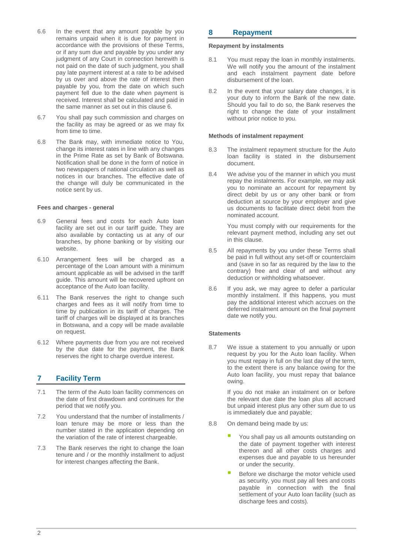- 6.6 In the event that any amount payable by you remains unpaid when it is due for payment in accordance with the provisions of these Terms, or if any sum due and payable by you under any judgment of any Court in connection herewith is not paid on the date of such judgment, you shall pay late payment interest at a rate to be advised by us over and above the rate of interest then payable by you, from the date on which such payment fell due to the date when payment is received. Interest shall be calculated and paid in the same manner as set out in this clause 6.
- 6.7 You shall pay such commission and charges on the facility as may be agreed or as we may fix from time to time.
- 6.8 The Bank may, with immediate notice to You, change its interest rates in line with any changes in the Prime Rate as set by Bank of Botswana. Notification shall be done in the form of notice in two newspapers of national circulation as well as notices in our branches. The effective date of the change will duly be communicated in the notice sent by us.

#### **Fees and charges - general**

- 6.9 General fees and costs for each Auto loan facility are set out in our tariff guide. They are also available by contacting us at any of our branches, by phone banking or by visiting our website.
- 6.10 Arrangement fees will be charged as a percentage of the Loan amount with a minimum amount applicable as will be advised in the tariff guide. This amount will be recovered upfront on acceptance of the Auto loan facility.
- 6.11 The Bank reserves the right to change such charges and fees as it will notify from time to time by publication in its tariff of charges. The tariff of charges will be displayed at its branches in Botswana, and a copy will be made available on request.
- 6.12 Where payments due from you are not received by the due date for the payment, the Bank reserves the right to charge overdue interest.

## **7 Facility Term**

- 7.1 The term of the Auto loan facility commences on the date of first drawdown and continues for the period that we notify you.
- 7.2 You understand that the number of installments / loan tenure may be more or less than the number stated in the application depending on the variation of the rate of interest chargeable.
- 7.3 The Bank reserves the right to change the loan tenure and / or the monthly installment to adjust for interest changes affecting the Bank.

#### **8 Repayment**

#### **Repayment by instalments**

- 8.1 You must repay the loan in monthly instalments. We will notify you the amount of the instalment and each instalment payment date before disbursement of the loan.
- 8.2 In the event that your salary date changes, it is your duty to inform the Bank of the new date. Should you fail to do so, the Bank reserves the right to change the date of your installment without prior notice to you.

#### **Methods of instalment repayment**

- 8.3 The instalment repayment structure for the Auto loan facility is stated in the disbursement document.
- 8.4 We advise you of the manner in which you must repay the instalments. For example, we may ask you to nominate an account for repayment by direct debit by us or any other bank or from deduction at source by your employer and give us documents to facilitate direct debit from the nominated account.

You must comply with our requirements for the relevant payment method, including any set out in this clause.

- 8.5 All repayments by you under these Terms shall be paid in full without any set-off or counterclaim and (save in so far as required by the law to the contrary) free and clear of and without any deduction or withholding whatsoever.
- 8.6 If you ask, we may agree to defer a particular monthly instalment. If this happens, you must pay the additional interest which accrues on the deferred instalment amount on the final payment date we notify you.

#### **Statements**

8.7 We issue a statement to you annually or upon request by you for the Auto loan facility. When you must repay in full on the last day of the term, to the extent there is any balance owing for the Auto loan facility, you must repay that balance owing.

> If you do not make an instalment on or before the relevant due date the loan plus all accrued but unpaid interest plus any other sum due to us is immediately due and payable;

- 8.8 On demand being made by us:
	- You shall pay us all amounts outstanding on the date of payment together with interest thereon and all other costs charges and expenses due and payable to us hereunder or under the security.
	- Before we discharge the motor vehicle used as security, you must pay all fees and costs payable in connection with the final settlement of your Auto loan facility (such as discharge fees and costs).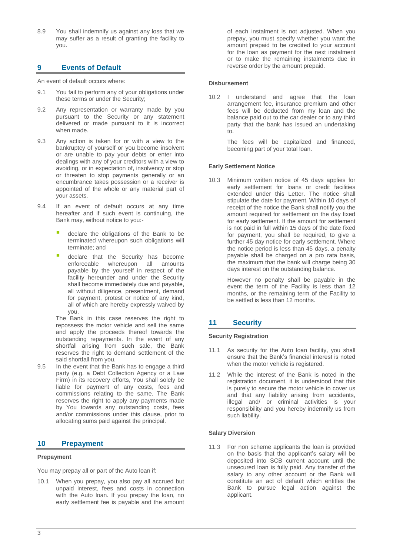8.9 You shall indemnify us against any loss that we may suffer as a result of granting the facility to you.

## **9 Events of Default**

An event of default occurs where:

- 9.1 You fail to perform any of your obligations under these terms or under the Security;
- 9.2 Any representation or warranty made by you pursuant to the Security or any statement delivered or made pursuant to it is incorrect when made.
- 9.3 Any action is taken for or with a view to the bankruptcy of yourself or you become insolvent or are unable to pay your debts or enter into dealings with any of your creditors with a view to avoiding, or in expectation of, insolvency or stop or threaten to stop payments generally or an encumbrance takes possession or a receiver is appointed of the whole or any material part of your assets.
- 9.4 If an event of default occurs at any time hereafter and if such event is continuing, the Bank may, without notice to you:
	- declare the obligations of the Bank to be terminated whereupon such obligations will terminate; and
	- declare that the Security has become enforceable whereupon all amounts payable by the yourself in respect of the facility hereunder and under the Security shall become immediately due and payable, all without diligence, presentment, demand for payment, protest or notice of any kind, all of which are hereby expressly waived by you.

The Bank in this case reserves the right to repossess the motor vehicle and sell the same and apply the proceeds thereof towards the outstanding repayments. In the event of any shortfall arising from such sale, the Bank reserves the right to demand settlement of the said shortfall from you.

9.5 In the event that the Bank has to engage a third party (e.g. a Debt Collection Agency or a Law Firm) in its recovery efforts, You shall solely be liable for payment of any costs, fees and commissions relating to the same. The Bank reserves the right to apply any payments made by You towards any outstanding costs, fees and/or commissions under this clause, prior to allocating sums paid against the principal.

### **10 Prepayment**

#### **Prepayment**

You may prepay all or part of the Auto loan if:

10.1 When you prepay, you also pay all accrued but unpaid interest, fees and costs in connection with the Auto loan. If you prepay the loan, no early settlement fee is payable and the amount

of each instalment is not adjusted. When you prepay, you must specify whether you want the amount prepaid to be credited to your account for the loan as payment for the next instalment or to make the remaining instalments due in reverse order by the amount prepaid.

#### **Disbursement**

10.2 I understand and agree that the loan arrangement fee, insurance premium and other fees will be deducted from my loan and the balance paid out to the car dealer or to any third party that the bank has issued an undertaking to.

> The fees will be capitalized and financed, becoming part of your total loan.

#### **Early Settlement Notice**

10.3 Minimum written notice of 45 days applies for early settlement for loans or credit facilities extended under this Letter. The notice shall stipulate the date for payment. Within 10 days of receipt of the notice the Bank shall notify you the amount required for settlement on the day fixed for early settlement. If the amount for settlement is not paid in full within 15 days of the date fixed for payment, you shall be required, to give a further 45 day notice for early settlement. Where the notice period is less than 45 days, a penalty payable shall be charged on a pro rata basis, the maximum that the bank will charge being 30 days interest on the outstanding balance.

> However no penalty shall be payable in the event the term of the Facility is less than 12 months, or the remaining term of the Facility to be settled is less than 12 months.

## **11 Security**

#### **Security Registration**

- 11.1 As security for the Auto loan facility, you shall ensure that the Bank's financial interest is noted when the motor vehicle is registered.
- 11.2 While the interest of the Bank is noted in the registration document, it is understood that this is purely to secure the motor vehicle to cover us and that any liability arising from accidents, illegal and/ or criminal activities is your responsibility and you hereby indemnify us from such liability.

#### **Salary Diversion**

11.3 For non scheme applicants the loan is provided on the basis that the applicant's salary will be deposited into SCB current account until the unsecured loan is fully paid. Any transfer of the salary to any other account or the Bank will constitute an act of default which entitles the Bank to pursue legal action against the applicant.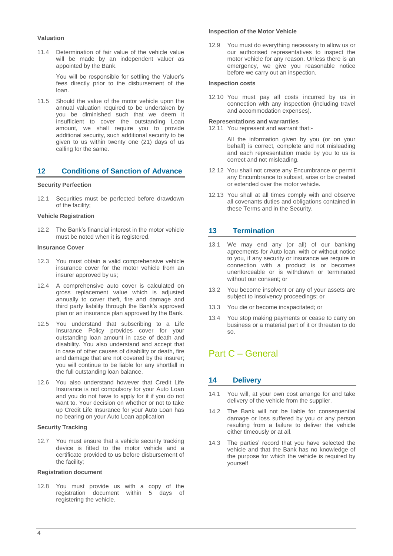#### **Valuation**

11.4 Determination of fair value of the vehicle value will be made by an independent valuer as appointed by the Bank.

> You will be responsible for settling the Valuer's fees directly prior to the disbursement of the loan.

11.5 Should the value of the motor vehicle upon the annual valuation required to be undertaken by you be diminished such that we deem it insufficient to cover the outstanding Loan amount, we shall require you to provide additional security, such additional security to be given to us within twenty one (21) days of us calling for the same.

## **12 Conditions of Sanction of Advance**

#### **Security Perfection**

12.1 Securities must be perfected before drawdown of the facility;

#### **Vehicle Registration**

12.2 The Bank's financial interest in the motor vehicle must be noted when it is registered.

#### **Insurance Cover**

- 12.3 You must obtain a valid comprehensive vehicle insurance cover for the motor vehicle from an insurer approved by us;
- 12.4 A comprehensive auto cover is calculated on gross replacement value which is adjusted annually to cover theft, fire and damage and third party liability through the Bank's approved plan or an insurance plan approved by the Bank.
- 12.5 You understand that subscribing to a Life Insurance Policy provides cover for your outstanding loan amount in case of death and disability. You also understand and accept that in case of other causes of disability or death, fire and damage that are not covered by the insurer; you will continue to be liable for any shortfall in the full outstanding loan balance.
- 12.6 You also understand however that Credit Life Insurance is not compulsory for your Auto Loan and you do not have to apply for it if you do not want to. Your decision on whether or not to take up Credit Life Insurance for your Auto Loan has no bearing on your Auto Loan application

#### **Security Tracking**

12.7 You must ensure that a vehicle security tracking device is fitted to the motor vehicle and a certificate provided to us before disbursement of the facility;

#### **Registration document**

12.8 You must provide us with a copy of the registration document within 5 days of registering the vehicle.

#### **Inspection of the Motor Vehicle**

12.9 You must do everything necessary to allow us or our authorised representatives to inspect the motor vehicle for any reason. Unless there is an emergency, we give you reasonable notice before we carry out an inspection.

#### **Inspection costs**

12.10 You must pay all costs incurred by us in connection with any inspection (including travel and accommodation expenses).

#### **Representations and warranties**

12.11 You represent and warrant that:-

All the information given by you (or on your behalf) is correct, complete and not misleading and each representation made by you to us is correct and not misleading.

- 12.12 You shall not create any Encumbrance or permit any Encumbrance to subsist, arise or be created or extended over the motor vehicle.
- 12.13 You shall at all times comply with and observe all covenants duties and obligations contained in these Terms and in the Security.

## **13 Termination**

- 13.1 We may end any (or all) of our banking agreements for Auto loan, with or without notice to you, if any security or insurance we require in connection with a product is or becomes unenforceable or is withdrawn or terminated without our consent; or
- 13.2 You become insolvent or any of your assets are subject to insolvency proceedings; or
- 13.3 You die or become incapacitated; or
- 13.4 You stop making payments or cease to carry on business or a material part of it or threaten to do so.

# Part C – General

## **14 Delivery**

- 14.1 You will, at your own cost arrange for and take delivery of the vehicle from the supplier.
- 14.2 The Bank will not be liable for consequential damage or loss suffered by you or any person resulting from a failure to deliver the vehicle either timeously or at all.
- 14.3 The parties' record that you have selected the vehicle and that the Bank has no knowledge of the purpose for which the vehicle is required by yourself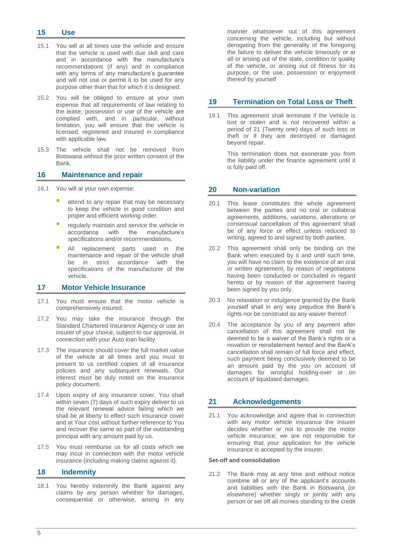#### **15 Use**

- 15.1 You will at all times use the vehicle and ensure that the vehicle is used with due skill and care and in accordance with the manufacture's recommendations (if any) and in compliance with any terms of any manufacture's guarantee and will not use or permit it to be used for any purpose other than that for which it is designed.
- 15.2 You will be obliged to ensure at your own expense that all requirements of law relating to the lease, possession or use of the vehicle are complied with, and in particular, without limitation, you will ensure that the vehicle is licensed, registered and insured in compliance with applicable law.
- 15.3 The vehicle shall not be removed from Botswana without the prior written consent of the **Bank**

#### **16 Maintenance and repair**

- 16.1 You will at your own expense:
	- attend to any repair that may be necessary to keep the vehicle in good condition and proper and efficient working order.
	- regularly maintain and service the vehicle in<br>accordance with the manufacture's manufacture's specifications and/or recommendations.
	- All replacement parts used in the maintenance and repair of the vehicle shall be in strict accordance with the specifications of the manufacturer of the vehicle.

### **17 Motor Vehicle Insurance**

- 17.1 You must ensure that the motor vehicle is comprehensively insured.
- 17.2 You may take the insurance through the Standard Chartered Insurance Agency or use an insurer of your choice, subject to our approval, in connection with your Auto loan facility.
- 17.3 The insurance should cover the full market value of the vehicle at all times and you must to present to us certified copies of all insurance policies and any subsequent renewals. Our interest must be duly noted on the insurance policy document.
- 17.4 Upon expiry of any insurance cover, You shall within seven (7) days of such expiry deliver to us the relevant renewal advice failing which we shall be at liberty to effect such insurance cover and at Your cost without further reference to You and recover the same as part of the outstanding principal with any amount paid by us.
- 17.5 You must reimburse us for all costs which we may incur in connection with the motor vehicle insurance (including making claims against it).

### **18 Indemnity**

18.1 You hereby indemnify the Bank against any claims by any person whether for damages, consequential or otherwise, arising in any

manner whatsoever out of this agreement concerning the vehicle, including but without derogating from the generality of the foregoing the failure to deliver the vehicle timeously or at all or arising out of the state, condition or quality of the vehicle, or arising out of fitness for its purpose, or the use, possession or enjoyment thereof by yourself

## **19 Termination on Total Loss or Theft**

19.1 This agreement shall terminate if the Vehicle is lost or stolen and is not recovered within a period of 21 (Twenty one) days of such loss or theft or if they are destroyed or damaged beyond repair.

> This termination does not exonerate you from the liability under the finance agreement until it is fully paid off.

## **20 Non-variation**

- 20.1 This lease constitutes the whole agreement between the parties and no oral or collateral agreements, additions, variations, alterations or consensual cancellation of this agreement shall be of any force or effect unless reduced to writing, agreed to and signed by both parties.
- 20.2 This agreement shall only be binding on the Bank when executed by it and until such time, you will have no claim to the existence of an oral or written agreement, by reason of negotiations having been conducted or concluded in regard hereto or by reason of the agreement having been signed by you only.
- 20.3 No relaxation or indulgence granted by the Bank yourself shall in any way prejudice the Bank's rights nor be construed as any waiver thereof.
- 20.4 The acceptance by you of any payment after cancellation of this agreement shall not be deemed to be a waiver of the Bank's rights or a novation or reinstatement hereof and the Bank's cancellation shall remain of full force and effect, such payment being conclusively deemed to be an amount paid by the you on account of damages for wrongful holding-over or on account of liquidated damages.

## **21 Acknowledgements**

21.1 You acknowledge and agree that in connection with any motor vehicle insurance the insurer decides whether or not to provide the motor vehicle insurance; we are not responsible for ensuring that your application for the vehicle insurance is accepted by the insurer.

#### **Set-off and consolidation**

21.2 The Bank may at any time and without notice combine all or any of the applicant's accounts and liabilities with the Bank in Botswana (or elsewhere) whether singly or jointly with any person or set off all monies standing to the credit